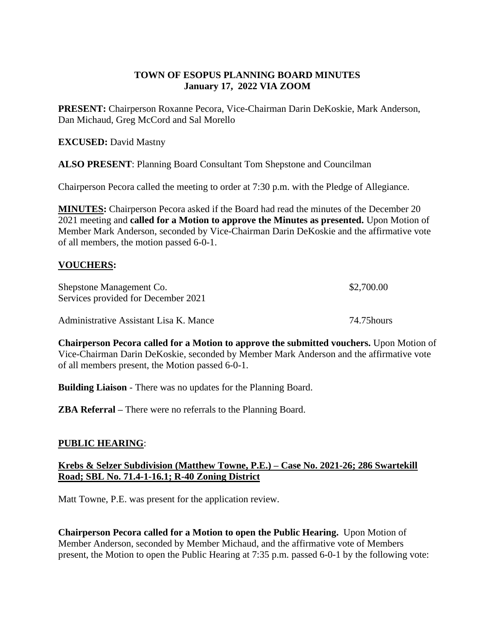## **TOWN OF ESOPUS PLANNING BOARD MINUTES January 17, 2022 VIA ZOOM**

**PRESENT:** Chairperson Roxanne Pecora, Vice-Chairman Darin DeKoskie, Mark Anderson, Dan Michaud, Greg McCord and Sal Morello

**EXCUSED:** David Mastny

**ALSO PRESENT**: Planning Board Consultant Tom Shepstone and Councilman

Chairperson Pecora called the meeting to order at 7:30 p.m. with the Pledge of Allegiance.

**MINUTES:** Chairperson Pecora asked if the Board had read the minutes of the December 20 2021 meeting and **called for a Motion to approve the Minutes as presented.** Upon Motion of Member Mark Anderson, seconded by Vice-Chairman Darin DeKoskie and the affirmative vote of all members, the motion passed 6-0-1.

## **VOUCHERS:**

| Shepstone Management Co.<br>Services provided for December 2021 | \$2,700.00  |
|-----------------------------------------------------------------|-------------|
| Administrative Assistant Lisa K. Mance                          | 74.75 hours |

**Chairperson Pecora called for a Motion to approve the submitted vouchers.** Upon Motion of Vice-Chairman Darin DeKoskie, seconded by Member Mark Anderson and the affirmative vote of all members present, the Motion passed 6-0-1.

**Building Liaison** - There was no updates for the Planning Board.

**ZBA Referral –** There were no referrals to the Planning Board.

## **PUBLIC HEARING**:

**Krebs & Selzer Subdivision (Matthew Towne, P.E.) – Case No. 2021-26; 286 Swartekill Road; SBL No. 71.4-1-16.1; R-40 Zoning District** 

Matt Towne, P.E. was present for the application review.

**Chairperson Pecora called for a Motion to open the Public Hearing.** Upon Motion of Member Anderson, seconded by Member Michaud, and the affirmative vote of Members present, the Motion to open the Public Hearing at 7:35 p.m. passed 6-0-1 by the following vote: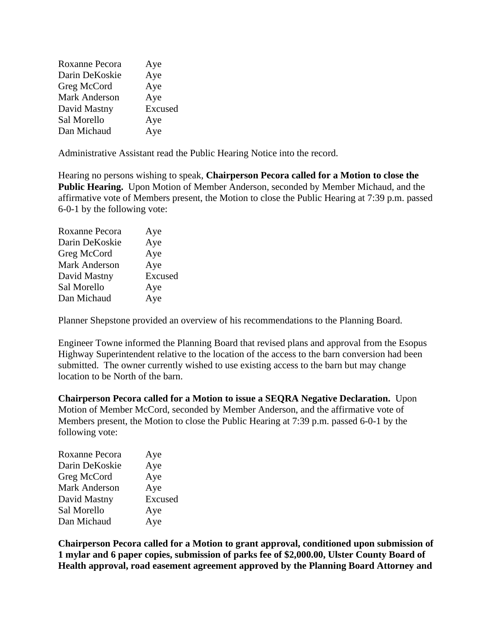| Roxanne Pecora       | Aye     |
|----------------------|---------|
| Darin DeKoskie       | Aye     |
| Greg McCord          | Aye     |
| <b>Mark Anderson</b> | Aye     |
| David Mastny         | Excused |
| Sal Morello          | Aye     |
| Dan Michaud          | Aye     |

Administrative Assistant read the Public Hearing Notice into the record.

Hearing no persons wishing to speak, **Chairperson Pecora called for a Motion to close the Public Hearing.** Upon Motion of Member Anderson, seconded by Member Michaud, and the affirmative vote of Members present, the Motion to close the Public Hearing at 7:39 p.m. passed 6-0-1 by the following vote:

| Roxanne Pecora       | Aye     |
|----------------------|---------|
| Darin DeKoskie       | Aye     |
| Greg McCord          | Aye     |
| <b>Mark Anderson</b> | Aye     |
| David Mastny         | Excused |
| Sal Morello          | Aye     |
| Dan Michaud          | Aye     |
|                      |         |

Planner Shepstone provided an overview of his recommendations to the Planning Board.

Engineer Towne informed the Planning Board that revised plans and approval from the Esopus Highway Superintendent relative to the location of the access to the barn conversion had been submitted. The owner currently wished to use existing access to the barn but may change location to be North of the barn.

**Chairperson Pecora called for a Motion to issue a SEQRA Negative Declaration.** Upon Motion of Member McCord, seconded by Member Anderson, and the affirmative vote of Members present, the Motion to close the Public Hearing at 7:39 p.m. passed 6-0-1 by the following vote:

| Excused |
|---------|
|         |
|         |
|         |

**Chairperson Pecora called for a Motion to grant approval, conditioned upon submission of 1 mylar and 6 paper copies, submission of parks fee of \$2,000.00, Ulster County Board of Health approval, road easement agreement approved by the Planning Board Attorney and**